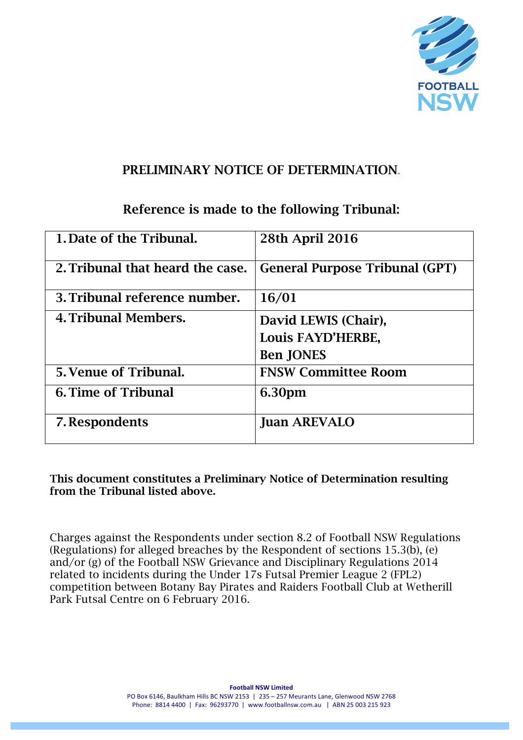

### PRELIMINARY NOTICE OF DETERMINATION.

# Reference is made to the following Tribunal:

| 1. Date of the Tribunal.         | <b>28th April 2016</b>                |
|----------------------------------|---------------------------------------|
| 2. Tribunal that heard the case. | <b>General Purpose Tribunal (GPT)</b> |
| 3. Tribunal reference number.    | 16/01                                 |
| 4. Tribunal Members.             | David LEWIS (Chair),                  |
|                                  | Louis FAYD'HERBE,                     |
|                                  | <b>Ben JONES</b>                      |
| 5. Venue of Tribunal.            | <b>FNSW Committee Room</b>            |
| <b>6. Time of Tribunal</b>       | 6.30pm                                |
| 7. Respondents                   | <b>Juan AREVALO</b>                   |

This document constitutes a Preliminary Notice of Determination resulting from the Tribunal listed above.

Charges against the Respondents under section 8.2 of Football NSW Regulations (Regulations) for alleged breaches by the Respondent of sections 15.3(b), (e) and/or (g) of the Football NSW Grievance and Disciplinary Regulations 2014 related to incidents during the Under 17s Futsal Premier League 2 (FPL2) competition between Botany Bay Pirates and Raiders Football Club at Wetherill Park Futsal Centre on 6 February 2016.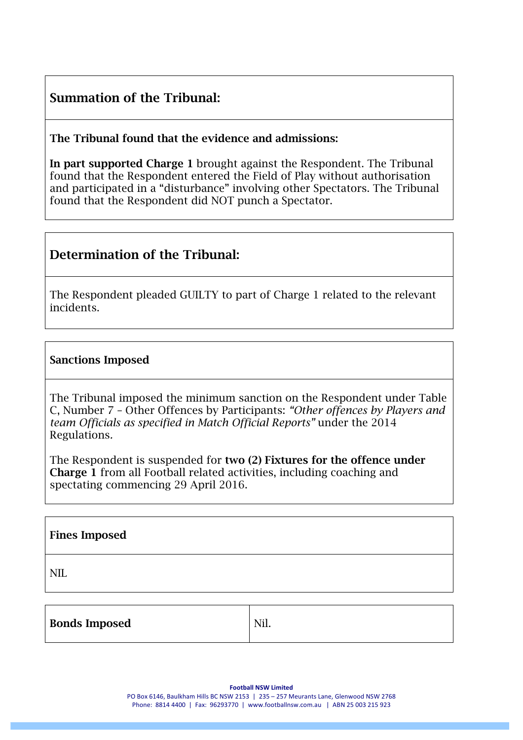## Summation of the Tribunal:

The Tribunal found that the evidence and admissions:

In part supported Charge 1 brought against the Respondent. The Tribunal found that the Respondent entered the Field of Play without authorisation and participated in a "disturbance" involving other Spectators. The Tribunal found that the Respondent did NOT punch a Spectator.

### Determination of the Tribunal:

The Respondent pleaded GUILTY to part of Charge 1 related to the relevant incidents.

#### Sanctions Imposed

The Tribunal imposed the minimum sanction on the Respondent under Table C, Number 7 – Other Offences by Participants: *"Other offences by Players and team Officials as specified in Match Official Reports"* under the 2014 Regulations*.*

The Respondent is suspended for two (2) Fixtures for the offence under Charge 1 from all Football related activities, including coaching and spectating commencing 29 April 2016.

#### Fines Imposed

NIL